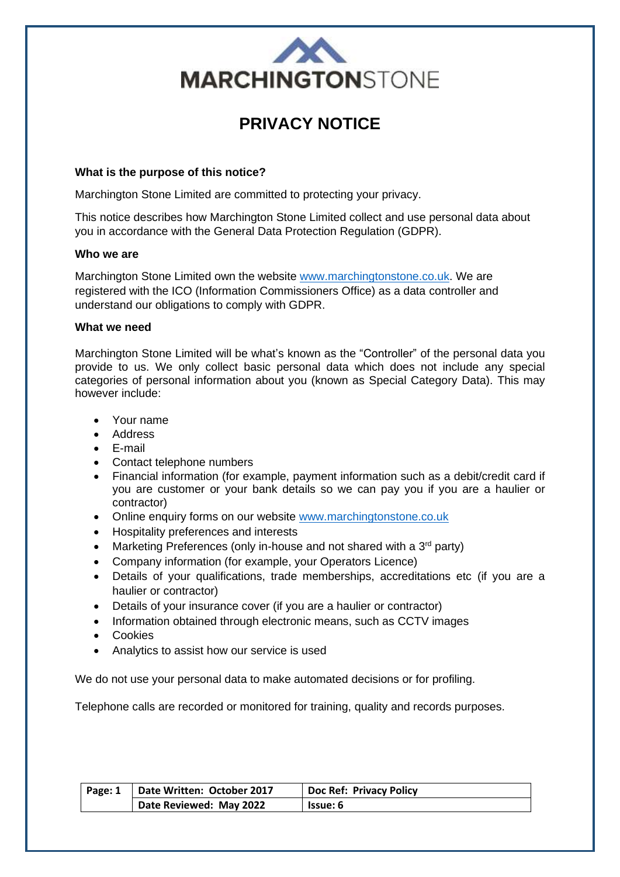

# **PRIVACY NOTICE**

# **What is the purpose of this notice?**

Marchington Stone Limited are committed to protecting your privacy.

This notice describes how Marchington Stone Limited collect and use personal data about you in accordance with the General Data Protection Regulation (GDPR).

## **Who we are**

Marchington Stone Limited own the website [www.marchingtonstone.co.uk.](http://www.marchingtonstone.co.uk/) We are registered with the ICO (Information Commissioners Office) as a data controller and understand our obligations to comply with GDPR.

## **What we need**

Marchington Stone Limited will be what's known as the "Controller" of the personal data you provide to us. We only collect basic personal data which does not include any special categories of personal information about you (known as Special Category Data). This may however include:

- Your name
- Address
- E-mail
- Contact telephone numbers
- Financial information (for example, payment information such as a debit/credit card if you are customer or your bank details so we can pay you if you are a haulier or contractor)
- Online enquiry forms on our website [www.marchingtonstone.co.uk](http://www.marchingtonstone.co.uk/)
- Hospitality preferences and interests
- Marketing Preferences (only in-house and not shared with a  $3<sup>rd</sup>$  party)
- Company information (for example, your Operators Licence)
- Details of your qualifications, trade memberships, accreditations etc (if you are a haulier or contractor)
- Details of your insurance cover (if you are a haulier or contractor)
- Information obtained through electronic means, such as CCTV images
- Cookies
- Analytics to assist how our service is used

We do not use your personal data to make automated decisions or for profiling.

Telephone calls are recorded or monitored for training, quality and records purposes.

| Page: 1 | Date Written: October 2017 | <b>Doc Ref: Privacy Policy</b> |
|---------|----------------------------|--------------------------------|
|         | Date Reviewed: May 2022    | <b>Issue: 6</b>                |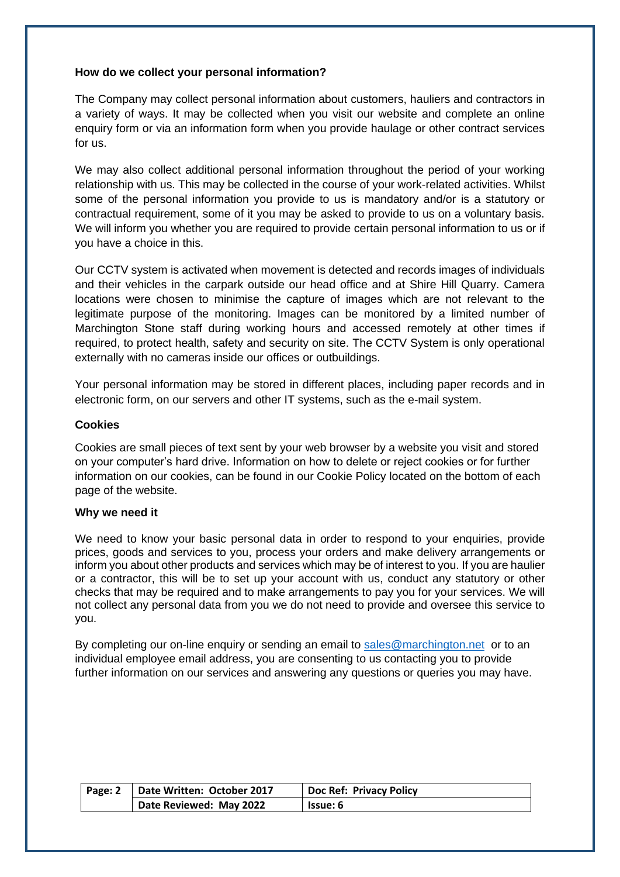# **How do we collect your personal information?**

The Company may collect personal information about customers, hauliers and contractors in a variety of ways. It may be collected when you visit our website and complete an online enquiry form or via an information form when you provide haulage or other contract services for us.

We may also collect additional personal information throughout the period of your working relationship with us. This may be collected in the course of your work-related activities. Whilst some of the personal information you provide to us is mandatory and/or is a statutory or contractual requirement, some of it you may be asked to provide to us on a voluntary basis. We will inform you whether you are required to provide certain personal information to us or if you have a choice in this.

Our CCTV system is activated when movement is detected and records images of individuals and their vehicles in the carpark outside our head office and at Shire Hill Quarry. Camera locations were chosen to minimise the capture of images which are not relevant to the legitimate purpose of the monitoring. Images can be monitored by a limited number of Marchington Stone staff during working hours and accessed remotely at other times if required, to protect health, safety and security on site. The CCTV System is only operational externally with no cameras inside our offices or outbuildings.

Your personal information may be stored in different places, including paper records and in electronic form, on our servers and other IT systems, such as the e-mail system.

## **Cookies**

Cookies are small pieces of text sent by your web browser by a website you visit and stored on your computer's hard drive. Information on how to delete or reject cookies or for further information on our cookies, can be found in our Cookie Policy located on the bottom of each page of the website.

### **Why we need it**

We need to know your basic personal data in order to respond to your enquiries, provide prices, goods and services to you, process your orders and make delivery arrangements or inform you about other products and services which may be of interest to you. If you are haulier or a contractor, this will be to set up your account with us, conduct any statutory or other checks that may be required and to make arrangements to pay you for your services. We will not collect any personal data from you we do not need to provide and oversee this service to you.

By completing our on-line enquiry or sending an email to [sales@marchington.net](mailto:sales@marchington.net) or to an individual employee email address, you are consenting to us contacting you to provide further information on our services and answering any questions or queries you may have.

| Page: 2 | Date Written: October 2017 | <b>Doc Ref: Privacy Policy</b> |
|---------|----------------------------|--------------------------------|
|         | Date Reviewed: May 2022    | <b>Issue: 6</b>                |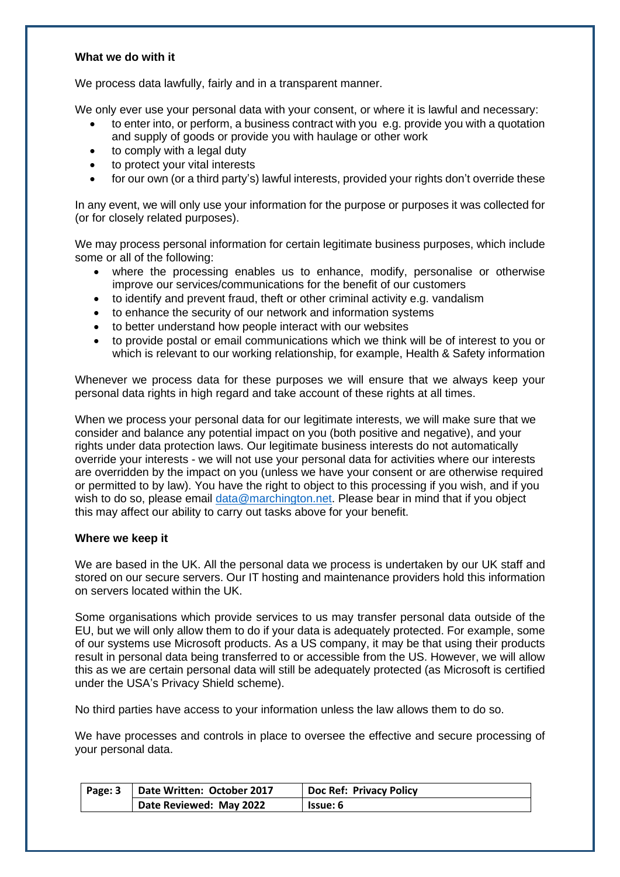## **What we do with it**

We process data lawfully, fairly and in a transparent manner.

We only ever use your personal data with your consent, or where it is lawful and necessary:

- to enter into, or perform, a business contract with you e.g. provide you with a quotation and supply of goods or provide you with haulage or other work
- to comply with a legal duty
- to protect your vital interests
- for our own (or a third party's) lawful interests, provided your rights don't override these

In any event, we will only use your information for the purpose or purposes it was collected for (or for closely related purposes).

We may process personal information for certain legitimate business purposes, which include some or all of the following:

- where the processing enables us to enhance, modify, personalise or otherwise improve our services/communications for the benefit of our customers
- to identify and prevent fraud, theft or other criminal activity e.g. vandalism
- to enhance the security of our network and information systems
- to better understand how people interact with our websites
- to provide postal or email communications which we think will be of interest to you or which is relevant to our working relationship, for example, Health & Safety information

Whenever we process data for these purposes we will ensure that we always keep your personal data rights in high regard and take account of these rights at all times.

When we process your personal data for our legitimate interests, we will make sure that we consider and balance any potential impact on you (both positive and negative), and your rights under data protection laws. Our legitimate business interests do not automatically override your interests - we will not use your personal data for activities where our interests are overridden by the impact on you (unless we have your consent or are otherwise required or permitted to by law). You have the right to object to this processing if you wish, and if you wish to do so, please email [data@marchington.net.](mailto:data@marchington.net) Please bear in mind that if you object this may affect our ability to carry out tasks above for your benefit.

# **Where we keep it**

We are based in the UK. All the personal data we process is undertaken by our UK staff and stored on our secure servers. Our IT hosting and maintenance providers hold this information on servers located within the UK.

Some organisations which provide services to us may transfer personal data outside of the EU, but we will only allow them to do if your data is adequately protected. For example, some of our systems use Microsoft products. As a US company, it may be that using their products result in personal data being transferred to or accessible from the US. However, we will allow this as we are certain personal data will still be adequately protected (as Microsoft is certified under the USA's Privacy Shield scheme).

No third parties have access to your information unless the law allows them to do so.

We have processes and controls in place to oversee the effective and secure processing of your personal data.

| Page: 3 | Date Written: October 2017 | <b>Doc Ref: Privacy Policy</b> |
|---------|----------------------------|--------------------------------|
|         | Date Reviewed: May 2022    | lssue: 6                       |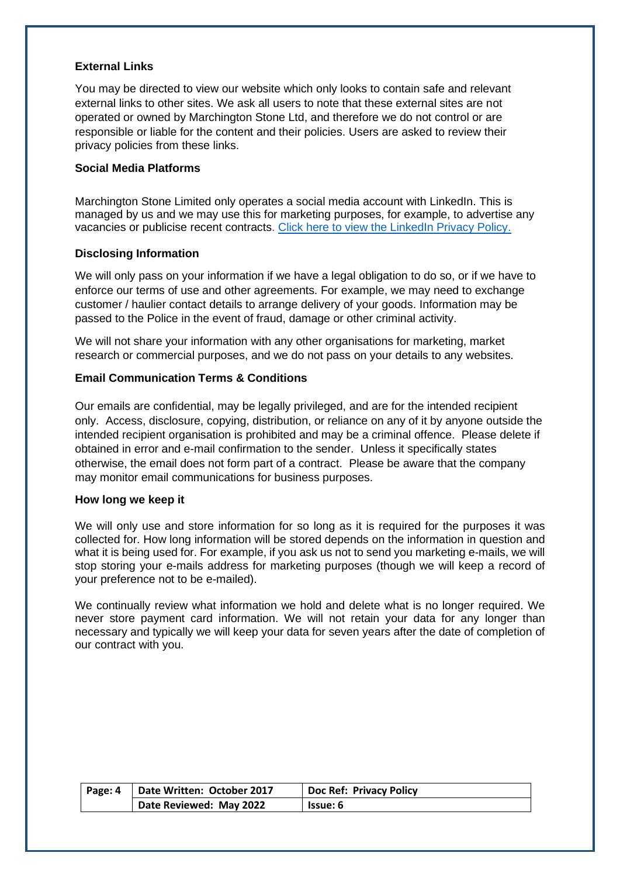# **External Links**

You may be directed to view our website which only looks to contain safe and relevant external links to other sites. We ask all users to note that these external sites are not operated or owned by Marchington Stone Ltd, and therefore we do not control or are responsible or liable for the content and their policies. Users are asked to review their privacy policies from these links.

# **Social Media Platforms**

Marchington Stone Limited only operates a social media account with LinkedIn. This is managed by us and we may use this for marketing purposes, for example, to advertise any vacancies or publicise recent contracts. [Click here to view the LinkedIn Privacy Policy.](https://www.linkedin.com/legal/privacy-policy)

# **Disclosing Information**

We will only pass on your information if we have a legal obligation to do so, or if we have to enforce our terms of use and other agreements. For example, we may need to exchange customer / haulier contact details to arrange delivery of your goods. Information may be passed to the Police in the event of fraud, damage or other criminal activity.

We will not share your information with any other organisations for marketing, market research or commercial purposes, and we do not pass on your details to any websites.

# **Email Communication Terms & Conditions**

Our emails are confidential, may be legally privileged, and are for the intended recipient only. Access, disclosure, copying, distribution, or reliance on any of it by anyone outside the intended recipient organisation is prohibited and may be a criminal offence. Please delete if obtained in error and e-mail confirmation to the sender. Unless it specifically states otherwise, the email does not form part of a contract. Please be aware that the company may monitor email communications for business purposes.

### **How long we keep it**

We will only use and store information for so long as it is required for the purposes it was collected for. How long information will be stored depends on the information in question and what it is being used for. For example, if you ask us not to send you marketing e-mails, we will stop storing your e-mails address for marketing purposes (though we will keep a record of your preference not to be e-mailed).

We continually review what information we hold and delete what is no longer required. We never store payment card information. We will not retain your data for any longer than necessary and typically we will keep your data for seven years after the date of completion of our contract with you.

| Page: 4 | Date Written: October 2017 | <b>Doc Ref: Privacy Policy</b> |
|---------|----------------------------|--------------------------------|
|         | Date Reviewed: May 2022    | <b>Issue: 6</b>                |